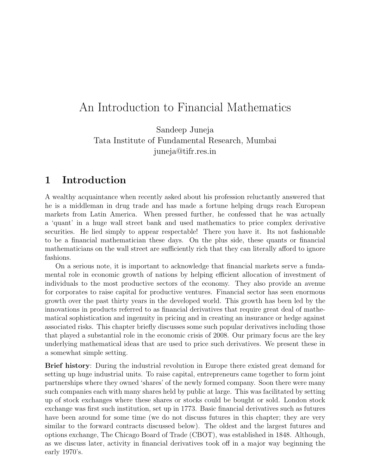# An Introduction to Financial Mathematics

Sandeep Juneja Tata Institute of Fundamental Research, Mumbai juneja@tifr.res.in

# 1 Introduction

A wealthy acquaintance when recently asked about his profession reluctantly answered that he is a middleman in drug trade and has made a fortune helping drugs reach European markets from Latin America. When pressed further, he confessed that he was actually a 'quant' in a huge wall street bank and used mathematics to price complex derivative securities. He lied simply to appear respectable! There you have it. Its not fashionable to be a financial mathematician these days. On the plus side, these quants or financial mathematicians on the wall street are sufficiently rich that they can literally afford to ignore fashions.

On a serious note, it is important to acknowledge that financial markets serve a fundamental role in economic growth of nations by helping efficient allocation of investment of individuals to the most productive sectors of the economy. They also provide an avenue for corporates to raise capital for productive ventures. Financial sector has seen enormous growth over the past thirty years in the developed world. This growth has been led by the innovations in products referred to as financial derivatives that require great deal of mathematical sophistication and ingenuity in pricing and in creating an insurance or hedge against associated risks. This chapter briefly discusses some such popular derivatives including those that played a substantial role in the economic crisis of 2008. Our primary focus are the key underlying mathematical ideas that are used to price such derivatives. We present these in a somewhat simple setting.

Brief history: During the industrial revolution in Europe there existed great demand for setting up huge industrial units. To raise capital, entrepreneurs came together to form joint partnerships where they owned 'shares' of the newly formed company. Soon there were many such companies each with many shares held by public at large. This was facilitated by setting up of stock exchanges where these shares or stocks could be bought or sold. London stock exchange was first such institution, set up in 1773. Basic financial derivatives such as futures have been around for some time (we do not discuss futures in this chapter; they are very similar to the forward contracts discussed below). The oldest and the largest futures and options exchange, The Chicago Board of Trade (CBOT), was established in 1848. Although, as we discuss later, activity in financial derivatives took off in a major way beginning the early 1970's.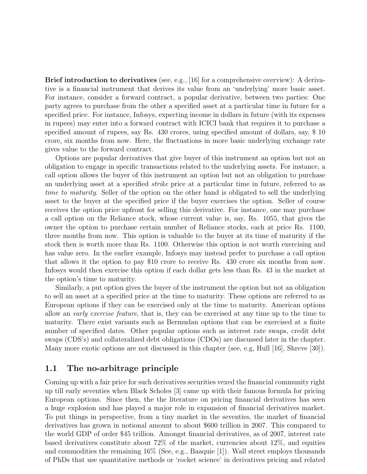Brief introduction to derivatives (see, e.g., [16] for a comprehensive overview): A derivative is a financial instrument that derives its value from an 'underlying' more basic asset. For instance, consider a forward contract, a popular derivative, between two parties: One party agrees to purchase from the other a specified asset at a particular time in future for a specified price. For instance, Infosys, expecting income in dollars in future (with its expenses in rupees) may enter into a forward contract with ICICI bank that requires it to purchase a specified amount of rupees, say Rs. 430 crores, using specified amount of dollars, say, \$ 10 crore, six months from now. Here, the fluctuations in more basic underlying exchange rate gives value to the forward contract.

Options are popular derivatives that give buyer of this instrument an option but not an obligation to engage in specific transactions related to the underlying assets. For instance, a call option allows the buyer of this instrument an option but not an obligation to purchase an underlying asset at a specified strike price at a particular time in future, referred to as time to maturity. Seller of the option on the other hand is obligated to sell the underlying asset to the buyer at the specified price if the buyer exercises the option. Seller of course receives the option price upfront for selling this derivative. For instance, one may purchase a call option on the Reliance stock, whose current value is, say, Rs. 1055, that gives the owner the option to purchase certain number of Reliance stocks, each at price Rs. 1100, three months from now. This option is valuable to the buyer at its time of maturity if the stock then is worth more than Rs. 1100. Otherwise this option is not worth exercising and has value zero. In the earlier example, Infosys may instead prefer to purchase a call option that allows it the option to pay \$10 crore to receive Rs. 430 crore six months from now. Infosys would then exercise this option if each dollar gets less than Rs. 43 in the market at the option's time to maturity.

Similarly, a put option gives the buyer of the instrument the option but not an obligation to sell an asset at a specified price at the time to maturity. These options are referred to as European options if they can be exercised only at the time to maturity. American options allow an early exercise feature, that is, they can be exercised at any time up to the time to maturity. There exist variants such as Bermudan options that can be exercised at a finite number of specified dates. Other popular options such as interest rate swaps, credit debt swaps (CDS's) and collateralized debt obligations (CDOs) are discussed later in the chapter. Many more exotic options are not discussed in this chapter (see, e.g, Hull [16], Shreve [30]).

## 1.1 The no-arbitrage principle

Coming up with a fair price for such derivatives securities vexed the financial community right up till early seventies when Black Scholes [3] came up with their famous formula for pricing European options. Since then, the the literature on pricing financial derivatives has seen a huge explosion and has played a major role in expansion of financial derivatives market. To put things in perspective, from a tiny market in the seventies, the market of financial derivatives has grown in notional amount to about \$600 trillion in 2007. This compared to the world GDP of order \$45 trillion. Amongst financial derivatives, as of 2007, interest rate based derivatives constitute about 72% of the market, currencies about 12%, and equities and commodities the remaining 16% (See, e.g., Baaquie [1]). Wall street employs thousands of PhDs that use quantitative methods or 'rocket science' in derivatives pricing and related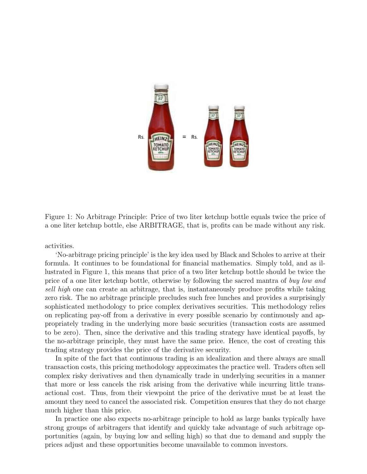

Figure 1: No Arbitrage Principle: Price of two liter ketchup bottle equals twice the price of a one liter ketchup bottle, else ARBITRAGE, that is, profits can be made without any risk.

activities.

'No-arbitrage pricing principle' is the key idea used by Black and Scholes to arrive at their formula. It continues to be foundational for financial mathematics. Simply told, and as illustrated in Figure 1, this means that price of a two liter ketchup bottle should be twice the price of a one liter ketchup bottle, otherwise by following the sacred mantra of buy low and sell high one can create an arbitrage, that is, instantaneously produce profits while taking zero risk. The no arbitrage principle precludes such free lunches and provides a surprisingly sophisticated methodology to price complex derivatives securities. This methodology relies on replicating pay-off from a derivative in every possible scenario by continuously and appropriately trading in the underlying more basic securities (transaction costs are assumed to be zero). Then, since the derivative and this trading strategy have identical payoffs, by the no-arbitrage principle, they must have the same price. Hence, the cost of creating this trading strategy provides the price of the derivative security.

In spite of the fact that continuous trading is an idealization and there always are small transaction costs, this pricing methodology approximates the practice well. Traders often sell complex risky derivatives and then dynamically trade in underlying securities in a manner that more or less cancels the risk arising from the derivative while incurring little transactional cost. Thus, from their viewpoint the price of the derivative must be at least the amount they need to cancel the associated risk. Competition ensures that they do not charge much higher than this price.

In practice one also expects no-arbitrage principle to hold as large banks typically have strong groups of arbitragers that identify and quickly take advantage of such arbitrage opportunities (again, by buying low and selling high) so that due to demand and supply the prices adjust and these opportunities become unavailable to common investors.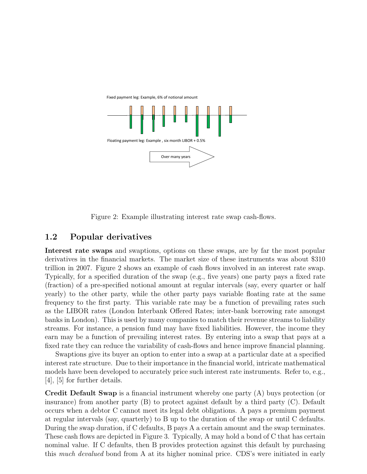

Figure 2: Example illustrating interest rate swap cash-flows.

## 1.2 Popular derivatives

Interest rate swaps and swaptions, options on these swaps, are by far the most popular derivatives in the financial markets. The market size of these instruments was about \$310 trillion in 2007. Figure 2 shows an example of cash flows involved in an interest rate swap. Typically, for a specified duration of the swap (e.g., five years) one party pays a fixed rate (fraction) of a pre-specified notional amount at regular intervals (say, every quarter or half yearly) to the other party, while the other party pays variable floating rate at the same frequency to the first party. This variable rate may be a function of prevailing rates such as the LIBOR rates (London Interbank Offered Rates; inter-bank borrowing rate amongst banks in London). This is used by many companies to match their revenue streams to liability streams. For instance, a pension fund may have fixed liabilities. However, the income they earn may be a function of prevailing interest rates. By entering into a swap that pays at a fixed rate they can reduce the variability of cash-flows and hence improve financial planning.

Swaptions give its buyer an option to enter into a swap at a particular date at a specified interest rate structure. Due to their importance in the financial world, intricate mathematical models have been developed to accurately price such interest rate instruments. Refer to, e.g., [4], [5] for further details.

Credit Default Swap is a financial instrument whereby one party (A) buys protection (or insurance) from another party (B) to protect against default by a third party (C). Default occurs when a debtor C cannot meet its legal debt obligations. A pays a premium payment at regular intervals (say, quarterly) to B up to the duration of the swap or until C defaults. During the swap duration, if C defaults, B pays A a certain amount and the swap terminates. These cash flows are depicted in Figure 3. Typically, A may hold a bond of C that has certain nominal value. If C defaults, then B provides protection against this default by purchasing this much devalued bond from A at its higher nominal price. CDS's were initiated in early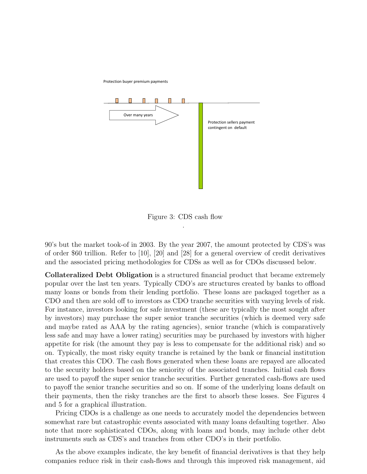Protection buyer premium payments



Figure 3: CDS cash flow .

90's but the market took-of in 2003. By the year 2007, the amount protected by CDS's was of order \$60 trillion. Refer to [10], [20] and [28] for a general overview of credit derivatives and the associated pricing methodologies for CDSs as well as for CDOs discussed below.

Collateralized Debt Obligation is a structured financial product that became extremely popular over the last ten years. Typically CDO's are structures created by banks to offload many loans or bonds from their lending portfolio. These loans are packaged together as a CDO and then are sold off to investors as CDO tranche securities with varying levels of risk. For instance, investors looking for safe investment (these are typically the most sought after by investors) may purchase the super senior tranche securities (which is deemed very safe and maybe rated as AAA by the rating agencies), senior tranche (which is comparatively less safe and may have a lower rating) securities may be purchased by investors with higher appetite for risk (the amount they pay is less to compensate for the additional risk) and so on. Typically, the most risky equity tranche is retained by the bank or financial institution that creates this CDO. The cash flows generated when these loans are repayed are allocated to the security holders based on the seniority of the associated tranches. Initial cash flows are used to payoff the super senior tranche securities. Further generated cash-flows are used to payoff the senior tranche securities and so on. If some of the underlying loans default on their payments, then the risky tranches are the first to absorb these losses. See Figures 4 and 5 for a graphical illustration.

Pricing CDOs is a challenge as one needs to accurately model the dependencies between somewhat rare but catastrophic events associated with many loans defaulting together. Also note that more sophisticated CDOs, along with loans and bonds, may include other debt instruments such as CDS's and tranches from other CDO's in their portfolio.

As the above examples indicate, the key benefit of financial derivatives is that they help companies reduce risk in their cash-flows and through this improved risk management, aid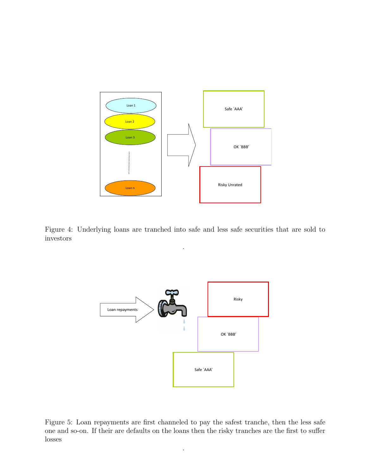

Figure 4: Underlying loans are tranched into safe and less safe securities that are sold to investors

.



Figure 5: Loan repayments are first channeled to pay the safest tranche, then the less safe one and so-on. If their are defaults on the loans then the risky tranches are the first to suffer losses

.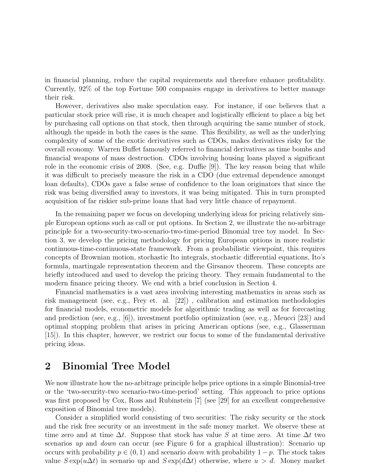in financial planning, reduce the capital requirements and therefore enhance profitability. Currently, 92% of the top Fortune 500 companies engage in derivatives to better manage their risk.

However, derivatives also make speculation easy. For instance, if one believes that a particular stock price will rise, it is much cheaper and logistically efficient to place a big bet by purchasing call options on that stock, then through acquiring the same number of stock, although the upside in both the cases is the same. This flexibility, as well as the underlying complexity of some of the exotic derivatives such as CDOs, makes derivatives risky for the overall economy. Warren Buffet famously referred to financial derivatives as time bombs and financial weapons of mass destruction. CDOs involving housing loans played a significant role in the economic crisis of 2008. (See, e.g. Duffie [9]). The key reason being that while it was difficult to precisely measure the risk in a CDO (due extremal dependence amongst loan defaults), CDOs gave a false sense of confidence to the loan originators that since the risk was being diversified away to investors, it was being mitigated. This in turn prompted acquisition of far riskier sub-prime loans that had very little chance of repayment.

In the remaining paper we focus on developing underlying ideas for pricing relatively simple European options such as call or put options. In Section 2, we illustrate the no-arbitrage principle for a two-security-two-scenario-two-time-period Binomial tree toy model. In Section 3, we develop the pricing methodology for pricing European options in more realistic continuous-time-continuous-state framework. From a probabilistic viewpoint, this requires concepts of Brownian motion, stochastic Ito integrals, stochastic differential equations, Ito's formula, martingale representation theorem and the Girsanov theorem. These concepts are briefly introduced and used to develop the pricing theory. They remain fundamental to the modern finance pricing theory. We end with a brief conclusion in Section 4.

Financial mathematics is a vast area involving interesting mathematics in areas such as risk management (see, e.g., Frey et. al. [22]) , calibration and estimation methodologies for financial models, econometric models for algorithmic trading as well as for forecasting and prediction (see, e.g., [6]), investment portfolio optimization (see, e.g., Meucci [23]) and optimal stopping problem that arises in pricing American options (see, e.g., Glasserman [15]). In this chapter, however, we restrict our focus to some of the fundamental derivative pricing ideas.

## 2 Binomial Tree Model

We now illustrate how the no-arbitrage principle helps price options in a simple Binomial-tree or the 'two-security-two scenario-two-time-period' setting. This approach to price options was first proposed by Cox, Ross and Rubinstein [7] (see [29] for an excellent comprehensive exposition of Binomial tree models).

Consider a simplified world consisting of two securities: The risky security or the stock and the risk free security or an investment in the safe money market. We observe these at time zero and at time  $\Delta t$ . Suppose that stock has value S at time zero. At time  $\Delta t$  two scenarios up and down can occur (see Figure 6 for a graphical illustration): Scenario up occurs with probability  $p \in (0, 1)$  and scenario *down* with probability  $1 - p$ . The stock takes value  $S \exp(u\Delta t)$  in scenario up and  $S \exp(d\Delta t)$  otherwise, where  $u > d$ . Money market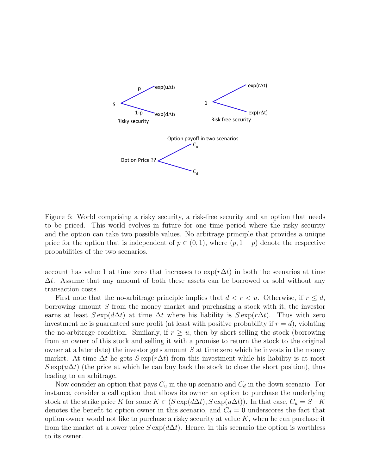

Figure 6: World comprising a risky security, a risk-free security and an option that needs to be priced. This world evolves in future for one time period where the risky security and the option can take two possible values. No arbitrage principle that provides a unique price for the option that is independent of  $p \in (0,1)$ , where  $(p, 1-p)$  denote the respective probabilities of the two scenarios.

account has value 1 at time zero that increases to  $\exp(r\Delta t)$  in both the scenarios at time  $\Delta t$ . Assume that any amount of both these assets can be borrowed or sold without any transaction costs.

First note that the no-arbitrage principle implies that  $d < r < u$ . Otherwise, if  $r \leq d$ , borrowing amount S from the money market and purchasing a stock with it, the investor earns at least  $S \exp(d\Delta t)$  at time  $\Delta t$  where his liability is  $S \exp(r\Delta t)$ . Thus with zero investment he is guaranteed sure profit (at least with positive probability if  $r = d$ ), violating the no-arbitrage condition. Similarly, if  $r \geq u$ , then by short selling the stock (borrowing from an owner of this stock and selling it with a promise to return the stock to the original owner at a later date) the investor gets amount  $S$  at time zero which he invests in the money market. At time  $\Delta t$  he gets  $S \exp(r \Delta t)$  from this investment while his liability is at most  $S \exp(u\Delta t)$  (the price at which he can buy back the stock to close the short position), thus leading to an arbitrage.

Now consider an option that pays  $C_u$  in the up scenario and  $C_d$  in the down scenario. For instance, consider a call option that allows its owner an option to purchase the underlying stock at the strike price K for some  $K \in (S \exp(d\Delta t), S \exp(u\Delta t))$ . In that case,  $C_u = S - K$ denotes the benefit to option owner in this scenario, and  $C_d = 0$  underscores the fact that option owner would not like to purchase a risky security at value  $K$ , when he can purchase it from the market at a lower price  $S \exp(d\Delta t)$ . Hence, in this scenario the option is worthless to its owner.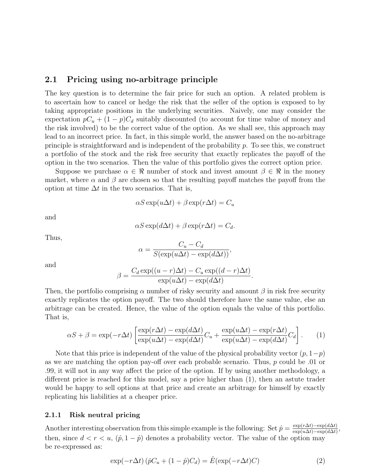## 2.1 Pricing using no-arbitrage principle

The key question is to determine the fair price for such an option. A related problem is to ascertain how to cancel or hedge the risk that the seller of the option is exposed to by taking appropriate positions in the underlying securities. Naively, one may consider the expectation  $pC_u + (1 - p)C_d$  suitably discounted (to account for time value of money and the risk involved) to be the correct value of the option. As we shall see, this approach may lead to an incorrect price. In fact, in this simple world, the answer based on the no-arbitrage principle is straightforward and is independent of the probability  $p$ . To see this, we construct a portfolio of the stock and the risk free security that exactly replicates the payoff of the option in the two scenarios. Then the value of this portfolio gives the correct option price.

Suppose we purchase  $\alpha \in \Re$  number of stock and invest amount  $\beta \in \Re$  in the money market, where  $\alpha$  and  $\beta$  are chosen so that the resulting payoff matches the payoff from the option at time  $\Delta t$  in the two scenarios. That is,

$$
\alpha S \exp(u\Delta t) + \beta \exp(r\Delta t) = C_u
$$

and

$$
\alpha S \exp(d\Delta t) + \beta \exp(r\Delta t) = C_d.
$$

Thus,

$$
\alpha = \frac{C_u - C_d}{S(\exp(u\Delta t) - \exp(d\Delta t))},
$$

and

$$
\beta = \frac{C_d \exp((u-r)\Delta t) - C_u \exp((d-r)\Delta t)}{\exp(u\Delta t) - \exp(d\Delta t)}.
$$

Then, the portfolio comprising  $\alpha$  number of risky security and amount  $\beta$  in risk free security exactly replicates the option payoff. The two should therefore have the same value, else an arbitrage can be created. Hence, the value of the option equals the value of this portfolio. That is,

$$
\alpha S + \beta = \exp(-r\Delta t) \left[ \frac{\exp(r\Delta t) - \exp(d\Delta t)}{\exp(u\Delta t) - \exp(d\Delta t)} C_u + \frac{\exp(u\Delta t) - \exp(r\Delta t)}{\exp(u\Delta t) - \exp(d\Delta t)} C_d \right].
$$
 (1)

Note that this price is independent of the value of the physical probability vector  $(p, 1-p)$ as we are matching the option pay-off over each probable scenario. Thus,  $p$  could be .01 or .99, it will not in any way affect the price of the option. If by using another methodology, a different price is reached for this model, say a price higher than (1), then an astute trader would be happy to sell options at that price and create an arbitrage for himself by exactly replicating his liabilities at a cheaper price.

#### 2.1.1 Risk neutral pricing

Another interesting observation from this simple example is the following: Set  $\hat{p} = \frac{\exp(r\Delta t) - \exp(d\Delta t)}{\exp(q\Delta t) - \exp(d\Delta t)}$  $\frac{\exp(r\Delta t) - \exp(d\Delta t)}{\exp(u\Delta t) - \exp(d\Delta t)},$ then, since  $d < r < u$ ,  $(\hat{p}, 1 - \hat{p})$  denotes a probability vector. The value of the option may be re-expressed as:

$$
\exp(-r\Delta t)\left(\hat{p}C_u + (1-\hat{p})C_d\right) = \hat{E}(\exp(-r\Delta t)C)
$$
\n(2)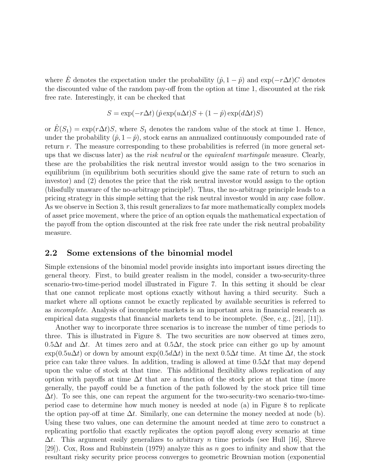where E<sup> $\hat{E}$ </sup> denotes the expectation under the probability  $(\hat{p}, 1 - \hat{p})$  and  $\exp(-r\Delta t)C$  denotes the discounted value of the random pay-off from the option at time 1, discounted at the risk free rate. Interestingly, it can be checked that

$$
S = \exp(-r\Delta t) \left( \hat{p} \exp(u\Delta t)S + (1-\hat{p}) \exp(d\Delta t)S \right)
$$

or  $E(S_1) = \exp(r\Delta t)S$ , where  $S_1$  denotes the random value of the stock at time 1. Hence, under the probability  $(\hat{p}, 1 - \hat{p})$ , stock earns an annualized continuously compounded rate of return r. The measure corresponding to these probabilities is referred (in more general setups that we discuss later) as the risk neutral or the equivalent martingale measure. Clearly, these are the probabilities the risk neutral investor would assign to the two scenarios in equilibrium (in equilibrium both securities should give the same rate of return to such an investor) and (2) denotes the price that the risk neutral investor would assign to the option (blissfully unaware of the no-arbitrage principle!). Thus, the no-arbitrage principle leads to a pricing strategy in this simple setting that the risk neutral investor would in any case follow. As we observe in Section 3, this result generalizes to far more mathematically complex models of asset price movement, where the price of an option equals the mathematical expectation of the payoff from the option discounted at the risk free rate under the risk neutral probability measure.

## 2.2 Some extensions of the binomial model

Simple extensions of the binomial model provide insights into important issues directing the general theory. First, to build greater realism in the model, consider a two-security-three scenario-two-time-period model illustrated in Figure 7. In this setting it should be clear that one cannot replicate most options exactly without having a third security. Such a market where all options cannot be exactly replicated by available securities is referred to as incomplete. Analysis of incomplete markets is an important area in financial research as empirical data suggests that financial markets tend to be incomplete. (See, e.g., [21], [11]).

Another way to incorporate three scenarios is to increase the number of time periods to three. This is illustrated in Figure 8. The two securities are now observed at times zero,  $0.5\Delta t$  and  $\Delta t$ . At times zero and at  $0.5\Delta t$ , the stock price can either go up by amount  $\exp(0.5u\Delta t)$  or down by amount  $\exp(0.5d\Delta t)$  in the next  $0.5\Delta t$  time. At time  $\Delta t$ , the stock price can take three values. In addition, trading is allowed at time  $0.5\Delta t$  that may depend upon the value of stock at that time. This additional flexibility allows replication of any option with payoffs at time  $\Delta t$  that are a function of the stock price at that time (more generally, the payoff could be a function of the path followed by the stock price till time  $\Delta t$ ). To see this, one can repeat the argument for the two-security-two scenario-two-timeperiod case to determine how much money is needed at node (a) in Figure 8 to replicate the option pay-off at time  $\Delta t$ . Similarly, one can determine the money needed at node (b). Using these two values, one can determine the amount needed at time zero to construct a replicating portfolio that exactly replicates the option payoff along every scenario at time  $\Delta t$ . This argument easily generalizes to arbitrary n time periods (see Hull [16], Shreve [29]). Cox, Ross and Rubinstein (1979) analyze this as n goes to infinity and show that the resultant risky security price process converges to geometric Brownian motion (exponential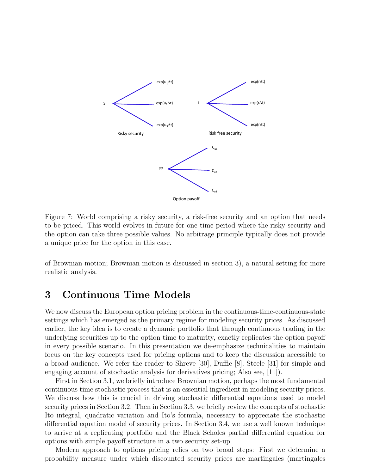

Figure 7: World comprising a risky security, a risk-free security and an option that needs to be priced. This world evolves in future for one time period where the risky security and the option can take three possible values. No arbitrage principle typically does not provide a unique price for the option in this case.

of Brownian motion; Brownian motion is discussed in section 3), a natural setting for more realistic analysis.

# 3 Continuous Time Models

We now discuss the European option pricing problem in the continuous-time-continuous-state settings which has emerged as the primary regime for modeling security prices. As discussed earlier, the key idea is to create a dynamic portfolio that through continuous trading in the underlying securities up to the option time to maturity, exactly replicates the option payoff in every possible scenario. In this presentation we de-emphasize technicalities to maintain focus on the key concepts used for pricing options and to keep the discussion accessible to a broad audience. We refer the reader to Shreve [30], Duffie [8], Steele [31] for simple and engaging account of stochastic analysis for derivatives pricing; Also see, [11]).

First in Section 3.1, we briefly introduce Brownian motion, perhaps the most fundamental continuous time stochastic process that is an essential ingredient in modeling security prices. We discuss how this is crucial in driving stochastic differential equations used to model security prices in Section 3.2. Then in Section 3.3, we briefly review the concepts of stochastic Ito integral, quadratic variation and Ito's formula, necessary to appreciate the stochastic differential equation model of security prices. In Section 3.4, we use a well known technique to arrive at a replicating portfolio and the Black Scholes partial differential equation for options with simple payoff structure in a two security set-up.

Modern approach to options pricing relies on two broad steps: First we determine a probability measure under which discounted security prices are martingales (martingales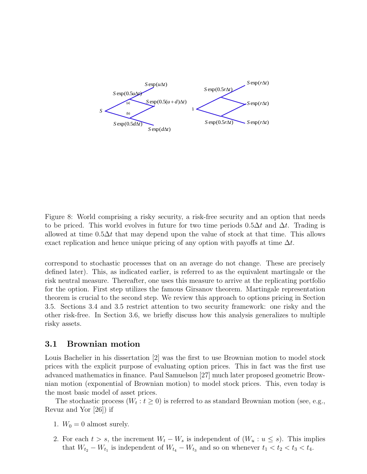

Figure 8: World comprising a risky security, a risk-free security and an option that needs to be priced. This world evolves in future for two time periods  $0.5\Delta t$  and  $\Delta t$ . Trading is allowed at time  $0.5\Delta t$  that may depend upon the value of stock at that time. This allows exact replication and hence unique pricing of any option with payoffs at time  $\Delta t$ .

correspond to stochastic processes that on an average do not change. These are precisely defined later). This, as indicated earlier, is referred to as the equivalent martingale or the risk neutral measure. Thereafter, one uses this measure to arrive at the replicating portfolio for the option. First step utilizes the famous Girsanov theorem. Martingale representation theorem is crucial to the second step. We review this approach to options pricing in Section 3.5. Sections 3.4 and 3.5 restrict attention to two security framework: one risky and the other risk-free. In Section 3.6, we briefly discuss how this analysis generalizes to multiple risky assets.

## 3.1 Brownian motion

Louis Bachelier in his dissertation [2] was the first to use Brownian motion to model stock prices with the explicit purpose of evaluating option prices. This in fact was the first use advanced mathematics in finance. Paul Samuelson [27] much later proposed geometric Brownian motion (exponential of Brownian motion) to model stock prices. This, even today is the most basic model of asset prices.

The stochastic process  $(W_t : t \geq 0)$  is referred to as standard Brownian motion (see, e.g., Revuz and Yor [26]) if

- 1.  $W_0 = 0$  almost surely.
- 2. For each  $t > s$ , the increment  $W_t W_s$  is independent of  $(W_u : u \leq s)$ . This implies that  $W_{t_2} - W_{t_1}$  is independent of  $W_{t_4} - W_{t_3}$  and so on whenever  $t_1 < t_2 < t_3 < t_4$ .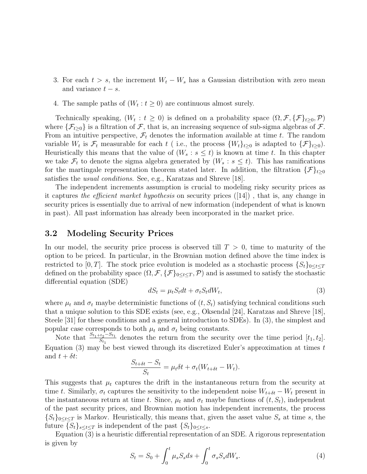- 3. For each  $t > s$ , the increment  $W_t W_s$  has a Gaussian distribution with zero mean and variance  $t - s$ .
- 4. The sample paths of  $(W_t : t \ge 0)$  are continuous almost surely.

Technically speaking,  $(W_t : t \geq 0)$  is defined on a probability space  $(\Omega, \mathcal{F}, \{\mathcal{F}\}_{t\geq 0}, \mathcal{P})$ where  $\{\mathcal{F}_{t\geq0}\}\$ is a filtration of  $\mathcal{F}$ , that is, an increasing sequence of sub-sigma algebras of  $\mathcal{F}$ . From an intuitive perspective,  $\mathcal{F}_t$  denotes the information available at time t. The random variable  $W_t$  is  $\mathcal{F}_t$  measurable for each t (i.e., the process  $\{W_t\}_{t\geq0}$  is adapted to  $\{\mathcal{F}\}_{t\geq0}$ ). Heuristically this means that the value of  $(W_s : s \le t)$  is known at time t. In this chapter we take  $\mathcal{F}_t$  to denote the sigma algebra generated by  $(W_s : s \le t)$ . This has ramifications for the martingale representation theorem stated later. In addition, the filtration  $\{\mathcal{F}\}_{t\geq 0}$ satisfies the usual conditions. See, e.g., Karatzas and Shreve [18].

The independent increments assumption is crucial to modeling risky security prices as it captures the efficient market hypothesis on security prices  $(14)$ , that is, any change in security prices is essentially due to arrival of new information (independent of what is known in past). All past information has already been incorporated in the market price.

## 3.2 Modeling Security Prices

In our model, the security price process is observed till  $T > 0$ , time to maturity of the option to be priced. In particular, in the Brownian motion defined above the time index is restricted to [0, T]. The stock price evolution is modeled as a stochastic process  $\{S_t\}_{0\leq t\leq T}$ defined on the probability space  $(\Omega, \mathcal{F}, \{\mathcal{F}\}_{0\leq t\leq T}, \mathcal{P})$  and is assumed to satisfy the stochastic differential equation (SDE)

$$
dS_t = \mu_t S_t dt + \sigma_t S_t dW_t,\tag{3}
$$

where  $\mu_t$  and  $\sigma_t$  maybe deterministic functions of  $(t, S_t)$  satisfying technical conditions such that a unique solution to this SDE exists (see, e.g., Oksendal [24], Karatzas and Shreve [18], Steele [31] for these conditions and a general introduction to SDEs). In (3), the simplest and popular case corresponds to both  $\mu_t$  and  $\sigma_t$  being constants.

Note that  $\frac{S_{t_1+t_2}-S_{t_1}}{S_{t_1}}$  denotes the return from the security over the time period  $[t_1, t_2]$ . Equation (3) may be best viewed through its discretized Euler's approximation at times  $t$ and  $t + \delta t$ :

$$
\frac{S_{t+\delta t} - S_t}{S_t} = \mu_t \delta t + \sigma_t (W_{t+\delta t} - W_t).
$$

This suggests that  $\mu_t$  captures the drift in the instantaneous return from the security at time t. Similarly,  $\sigma_t$  captures the sensitivity to the independent noise  $W_{t+\delta t} - W_t$  present in the instantaneous return at time t. Since,  $\mu_t$  and  $\sigma_t$  maybe functions of  $(t, S_t)$ , independent of the past security prices, and Brownian motion has independent increments, the process  ${S_t}_{0 \le t \le T}$  is Markov. Heuristically, this means that, given the asset value  $S_s$  at time s, the future  $\{S_t\}_{s\leq t\leq T}$  is independent of the past  $\{S_t\}_{0\leq t\leq s}$ .

Equation (3) is a heuristic differential representation of an SDE. A rigorous representation is given by

$$
S_t = S_0 + \int_0^t \mu_s S_s ds + \int_0^t \sigma_s S_s dW_s. \tag{4}
$$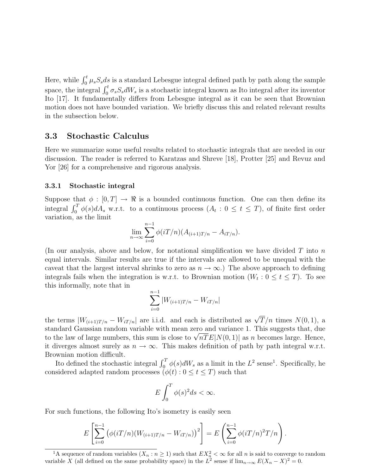Here, while  $\int_0^t \mu_s S_s ds$  is a standard Lebesgue integral defined path by path along the sample space, the integral  $\int_0^t \sigma_s S_s dW_s$  is a stochastic integral known as Ito integral after its inventor Ito [17]. It fundamentally differs from Lebesgue integral as it can be seen that Brownian motion does not have bounded variation. We briefly discuss this and related relevant results in the subsection below.

## 3.3 Stochastic Calculus

Here we summarize some useful results related to stochastic integrals that are needed in our discussion. The reader is referred to Karatzas and Shreve [18], Protter [25] and Revuz and Yor [26] for a comprehensive and rigorous analysis.

#### 3.3.1 Stochastic integral

Suppose that  $\phi : [0, T] \to \mathbb{R}$  is a bounded continuous function. One can then define its integral  $\int_0^T \phi(s) dA_s$  w.r.t. to a continuous process  $(A_t: 0 \le t \le T)$ , of finite first order variation, as the limit

$$
\lim_{n \to \infty} \sum_{i=0}^{n-1} \phi(iT/n) (A_{(i+1)T/n} - A_{iT/n}).
$$

(In our analysis, above and below, for notational simplification we have divided  $T$  into  $n$ equal intervals. Similar results are true if the intervals are allowed to be unequal with the caveat that the largest interval shrinks to zero as  $n \to \infty$ .) The above approach to defining integrals fails when the integration is w.r.t. to Brownian motion  $(W_t: 0 \le t \le T)$ . To see this informally, note that in

$$
\sum_{i=0}^{n-1} |W_{(i+1)T/n} - W_{iT/n}|
$$

the terms  $|W_{(i+1)T/n} - W_{iT/n}|$  are i.i.d. and each is distributed as  $\sqrt{T}/n$  times  $N(0, 1)$ , a standard Gaussian random variable with mean zero and variance 1. This suggests that, due standard Gaussian random variable with mean zero and variance 1. This suggests that, due<br>to the law of large numbers, this sum is close to  $\sqrt{nT}E|N(0,1)|$  as n becomes large. Hence, it diverges almost surely as  $n \to \infty$ . This makes definition of path by path integral w.r.t. Brownian motion difficult.

Ito defined the stochastic integral  $\int_0^T \phi(s) dW_s$  as a limit in the  $L^2$  sense<sup>1</sup>. Specifically, he considered adapted random processes  $(\phi(t): 0 \le t \le T)$  such that

$$
E\int_0^T \phi(s)^2 ds < \infty.
$$

For such functions, the following Ito's isometry is easily seen

$$
E\left[\sum_{i=0}^{n-1} (\phi(iT/n)(W_{(i+1)T/n} - W_{iT/n}))^{2}\right] = E\left(\sum_{i=0}^{n-1} \phi(iT/n)^{2}T/n\right).
$$

<sup>&</sup>lt;sup>1</sup>A sequence of random variables  $(X_n : n \ge 1)$  such that  $EX_n^2 < \infty$  for all n is said to converge to random variable X (all defined on the same probability space) in the  $L^2$  sense if  $\lim_{n\to\infty} E(X_n - X)^2 = 0$ .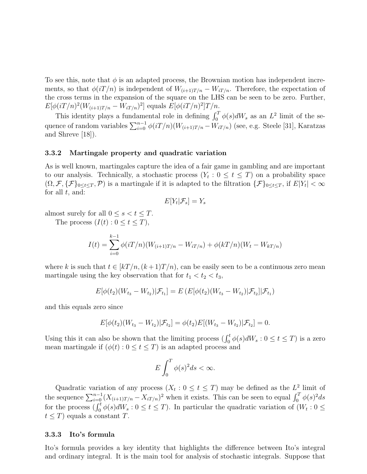To see this, note that  $\phi$  is an adapted process, the Brownian motion has independent increments, so that  $\phi(iT/n)$  is independent of  $W_{(i+1)T/n} - W_{iT/n}$ . Therefore, the expectation of the cross terms in the expansion of the square on the LHS can be seen to be zero. Further,  $E[\phi(iT/n)^2(W_{(i+1)T/n} - W_{iT/n})^2]$  equals  $E[\phi(iT/n)^2]T/n$ .

This identity plays a fundamental role in defining  $\int_0^T \phi(s) dW_s$  as an  $L^2$  limit of the sequence of random variables  $\sum_{i=0}^{n-1} \phi(iT/n)(W_{(i+1)T/n} - W_{iT/n})$  (see, e.g. Steele [31], Karatzas and Shreve [18]).

#### 3.3.2 Martingale property and quadratic variation

As is well known, martingales capture the idea of a fair game in gambling and are important to our analysis. Technically, a stochastic process  $(Y_t : 0 \le t \le T)$  on a probability space  $(\Omega, \mathcal{F}, \{\mathcal{F}\}_{0\leq t\leq T}, \mathcal{P})$  is a martingale if it is adapted to the filtration  $\{\mathcal{F}\}_{0\leq t\leq T}$ , if  $E|Y_t| < \infty$ for all  $t$ , and:

$$
E[Y_t|\mathcal{F}_s] = Y_s
$$

almost surely for all  $0 \leq s < t \leq T$ .

The process  $(I(t): 0 \leq t \leq T)$ ,

$$
I(t) = \sum_{i=0}^{k-1} \phi(iT/n)(W_{(i+1)T/n} - W_{iT/n}) + \phi(kT/n)(W_t - W_{kT/n})
$$

where k is such that  $t \in [kT/n, (k+1)T/n)$ , can be easily seen to be a continuous zero mean martingale using the key observation that for  $t_1 < t_2 < t_3$ ,

$$
E[\phi(t_2)(W_{t_3}-W_{t_2})|\mathcal{F}_{t_1}] = E(E[\phi(t_2)(W_{t_3}-W_{t_2})|\mathcal{F}_{t_2}]|\mathcal{F}_{t_1})
$$

and this equals zero since

$$
E[\phi(t_2)(W_{t_3}-W_{t_2})|\mathcal{F}_{t_2}] = \phi(t_2)E[(W_{t_3}-W_{t_2})|\mathcal{F}_{t_2}] = 0.
$$

Using this it can also be shown that the limiting process  $(\int_0^t \phi(s)dW_s : 0 \le t \le T)$  is a zero mean martingale if  $(\phi(t): 0 \le t \le T)$  is an adapted process and

$$
E\int_0^T \phi(s)^2 ds < \infty.
$$

Quadratic variation of any process  $(X_t: 0 \le t \le T)$  may be defined as the  $L^2$  limit of the sequence  $\sum_{i=0}^{n-1} (X_{(i+1)T/n} - X_{iT/n})^2$  when it exists. This can be seen to equal  $\int_0^T \phi(s)^2 ds$ for the process  $(\int_0^t \phi(s)dW_s: 0 \le t \le T)$ . In particular the quadratic variation of  $(W_t: 0 \le$  $t \leq T$ ) equals a constant T.

#### 3.3.3 Ito's formula

Ito's formula provides a key identity that highlights the difference between Ito's integral and ordinary integral. It is the main tool for analysis of stochastic integrals. Suppose that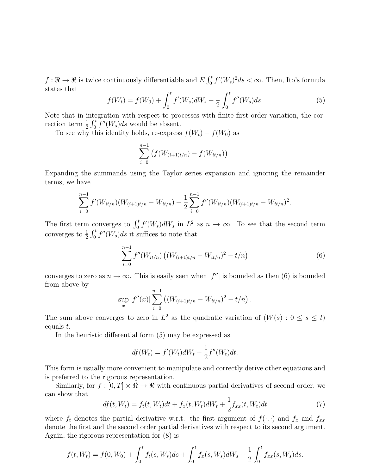$f: \Re \to \Re$  is twice continuously differentiable and  $E \int_0^t f'(W_s)^2 ds < \infty$ . Then, Ito's formula states that

$$
f(W_t) = f(W_0) + \int_0^t f'(W_s) dW_s + \frac{1}{2} \int_0^t f''(W_s) ds.
$$
 (5)

Note that in integration with respect to processes with finite first order variation, the correction term  $\frac{1}{2} \int_0^t \tilde{f}''(W_s)ds$  would be absent.

To see why this identity holds, re-express  $f(W_t) - f(W_0)$  as

$$
\sum_{i=0}^{n-1} \left( f(W_{(i+1)t/n}) - f(W_{it/n}) \right).
$$

Expanding the summands using the Taylor series expansion and ignoring the remainder terms, we have

$$
\sum_{i=0}^{n-1} f'(W_{it/n})(W_{(i+1)t/n} - W_{it/n}) + \frac{1}{2} \sum_{i=0}^{n-1} f''(W_{it/n})(W_{(i+1)t/n} - W_{it/n})^2.
$$

The first term converges to  $\int_0^t f'(W_s) dW_s$  in  $L^2$  as  $n \to \infty$ . To see that the second term converges to  $\frac{1}{2} \int_0^t f''(W_s) ds$  it suffices to note that

$$
\sum_{i=0}^{n-1} f''(W_{it/n}) \left( (W_{(i+1)t/n} - W_{it/n})^2 - t/n \right) \tag{6}
$$

converges to zero as  $n \to \infty$ . This is easily seen when  $|f''|$  is bounded as then (6) is bounded from above by

$$
\sup_x |f''(x)| \sum_{i=0}^{n-1} ((W_{(i+1)t/n} - W_{it/n})^2 - t/n).
$$

The sum above converges to zero in  $L^2$  as the quadratic variation of  $(W(s): 0 \le s \le t)$ equals t.

In the heuristic differential form (5) may be expressed as

$$
df(W_t) = f'(W_t)dW_t + \frac{1}{2}f''(W_t)dt.
$$

This form is usually more convenient to manipulate and correctly derive other equations and is preferred to the rigorous representation.

Similarly, for  $f : [0, T] \times \mathbb{R} \to \mathbb{R}$  with continuous partial derivatives of second order, we can show that

$$
df(t, W_t) = f_t(t, W_t)dt + f_x(t, W_t)dW_t + \frac{1}{2}f_{xx}(t, W_t)dt
$$
\n(7)

where  $f_t$  denotes the partial derivative w.r.t. the first argument of  $f(\cdot, \cdot)$  and  $f_x$  and  $f_{xx}$ denote the first and the second order partial derivatives with respect to its second argument. Again, the rigorous representation for (8) is

$$
f(t, W_t) = f(0, W_0) + \int_0^t f_t(s, W_s) ds + \int_0^t f_x(s, W_s) dW_s + \frac{1}{2} \int_0^t f_{xx}(s, W_s) ds.
$$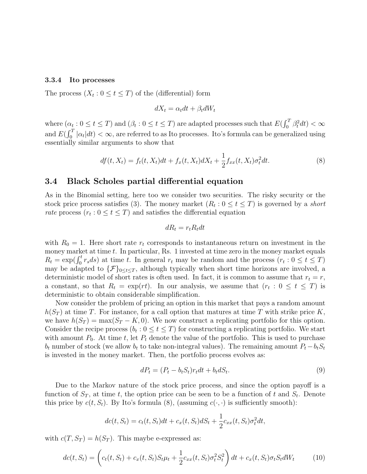#### 3.3.4 Ito processes

The process  $(X_t: 0 \le t \le T)$  of the (differential) form

$$
dX_t = \alpha_t dt + \beta_t dW_t
$$

where  $(\alpha_t: 0 \le t \le T)$  and  $(\beta_t: 0 \le t \le T)$  are adapted processes such that  $E(\int_0^T \beta_t^2 dt) < \infty$ and  $E(\int_0^T |\alpha_t| dt) < \infty$ , are referred to as Ito processes. Ito's formula can be generalized using essentially similar arguments to show that

$$
df(t, X_t) = f_t(t, X_t)dt + f_x(t, X_t)dX_t + \frac{1}{2}f_{xx}(t, X_t)\sigma_t^2 dt.
$$
 (8)

### 3.4 Black Scholes partial differential equation

As in the Binomial setting, here too we consider two securities. The risky security or the stock price process satisfies (3). The money market  $(R_t: 0 \le t \le T)$  is governed by a *short* rate process  $(r_t: 0 \le t \le T)$  and satisfies the differential equation

$$
dR_t = r_t R_t dt
$$

with  $R_0 = 1$ . Here short rate  $r_t$  corresponds to instantaneous return on investment in the money market at time  $t$ . In particular, Rs. 1 invested at time zero in the money market equals  $R_t = \exp(\int_0^t r_s ds)$  at time t. In general  $r_t$  may be random and the process  $(r_t : 0 \le t \le T)$ may be adapted to  $\{\mathcal{F}\}_{0\leq t\leq T}$ , although typically when short time horizons are involved, a deterministic model of short rates is often used. In fact, it is common to assume that  $r_t = r$ , a constant, so that  $R_t = \exp(rt)$ . In our analysis, we assume that  $(r_t : 0 \le t \le T)$  is deterministic to obtain considerable simplification.

Now consider the problem of pricing an option in this market that pays a random amount  $h(S_T)$  at time T. For instance, for a call option that matures at time T with strike price K, we have  $h(S_T) = \max(S_T - K, 0)$ . We now construct a replicating portfolio for this option. Consider the recipe process  $(b_t: 0 \le t \le T)$  for constructing a replicating portfolio. We start with amount  $P_0$ . At time t, let  $P_t$  denote the value of the portfolio. This is used to purchase  $b_t$  number of stock (we allow  $b_t$  to take non-integral values). The remaining amount  $P_t - b_t S_t$ is invested in the money market. Then, the portfolio process evolves as:

$$
dP_t = (P_t - b_t S_t) r_t dt + b_t dS_t.
$$
\n
$$
(9)
$$

Due to the Markov nature of the stock price process, and since the option payoff is a function of  $S_T$ , at time t, the option price can be seen to be a function of t and  $S_t$ . Denote this price by  $c(t, S_t)$ . By Ito's formula (8), (assuming  $c(\cdot, \cdot)$  is sufficiently smooth):

$$
dc(t, S_t) = c_t(t, S_t)dt + c_x(t, S_t)dS_t + \frac{1}{2}c_{xx}(t, S_t)\sigma_t^2dt,
$$

with  $c(T, S_T) = h(S_T)$ . This maybe e-expressed as:

$$
dc(t, S_t) = \left(c_t(t, S_t) + c_x(t, S_t)S_t\mu_t + \frac{1}{2}c_{xx}(t, S_t)\sigma_t^2 S_t^2\right)dt + c_x(t, S_t)\sigma_t S_t dW_t
$$
 (10)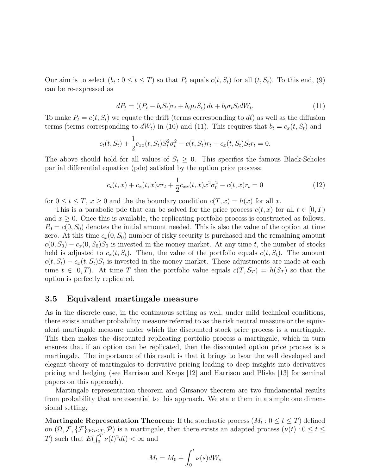Our aim is to select  $(b_t: 0 \le t \le T)$  so that  $P_t$  equals  $c(t, S_t)$  for all  $(t, S_t)$ . To this end, (9) can be re-expressed as

$$
dP_t = \left( (P_t - b_t S_t) r_t + b_t \mu_t S_t \right) dt + b_t \sigma_t S_t dW_t.
$$
\n
$$
(11)
$$

To make  $P_t = c(t, S_t)$  we equate the drift (terms corresponding to dt) as well as the diffusion terms (terms corresponding to  $dW_t$ ) in (10) and (11). This requires that  $b_t = c_x(t, S_t)$  and

$$
c_t(t, S_t) + \frac{1}{2}c_{xx}(t, S_t)S_t^2\sigma_t^2 - c(t, S_t)r_t + c_x(t, S_t)S_t r_t = 0.
$$

The above should hold for all values of  $S_t \geq 0$ . This specifies the famous Black-Scholes partial differential equation (pde) satisfied by the option price process:

$$
c_t(t,x) + c_x(t,x)xr_t + \frac{1}{2}c_{xx}(t,x)x^2\sigma_t^2 - c(t,x)r_t = 0
$$
\n(12)

for  $0 \le t \le T$ ,  $x \ge 0$  and the the boundary condition  $c(T, x) = h(x)$  for all x.

This is a parabolic pde that can be solved for the price process  $c(t, x)$  for all  $t \in [0, T)$ and  $x \geq 0$ . Once this is available, the replicating portfolio process is constructed as follows.  $P_0 = c(0, S_0)$  denotes the initial amount needed. This is also the value of the option at time zero. At this time  $c_x(0, S_0)$  number of risky security is purchased and the remaining amount  $c(0, S_0) - c_x(0, S_0)S_0$  is invested in the money market. At any time t, the number of stocks held is adjusted to  $c_x(t, S_t)$ . Then, the value of the portfolio equals  $c(t, S_t)$ . The amount  $c(t, S_t) - c_x(t, S_t)S_t$  is invested in the money market. These adjustments are made at each time  $t \in [0, T)$ . At time T then the portfolio value equals  $c(T, S_T) = h(S_T)$  so that the option is perfectly replicated.

## 3.5 Equivalent martingale measure

As in the discrete case, in the continuous setting as well, under mild technical conditions, there exists another probability measure referred to as the risk neutral measure or the equivalent martingale measure under which the discounted stock price process is a martingale. This then makes the discounted replicating portfolio process a martingale, which in turn ensures that if an option can be replicated, then the discounted option price process is a martingale. The importance of this result is that it brings to bear the well developed and elegant theory of martingales to derivative pricing leading to deep insights into derivatives pricing and hedging (see Harrison and Kreps [12] and Harrison and Pliska [13] for seminal papers on this approach).

Martingale representation theorem and Girsanov theorem are two fundamental results from probability that are essential to this approach. We state them in a simple one dimensional setting.

**Martingale Representation Theorem:** If the stochastic process  $(M_t: 0 \le t \le T)$  defined on  $(\Omega, \mathcal{F}, {\{\mathcal{F}\}}_{0\leq t\leq T}, \mathcal{P})$  is a martingale, then there exists an adapted process  $(\nu(t): 0 \leq t \leq T)$ T) such that  $E(\int_0^T \nu(t)^2 dt) < \infty$  and

$$
M_t = M_0 + \int_0^t \nu(s)dW_s
$$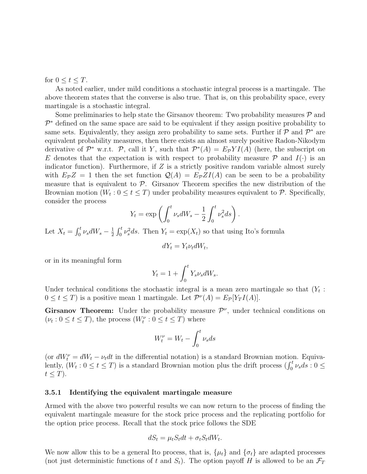for  $0 \le t \le T$ .

As noted earlier, under mild conditions a stochastic integral process is a martingale. The above theorem states that the converse is also true. That is, on this probability space, every martingale is a stochastic integral.

Some preliminaries to help state the Girsanov theorem: Two probability measures  $P$  and  $\mathcal{P}^*$  defined on the same space are said to be equivalent if they assign positive probability to same sets. Equivalently, they assign zero probability to same sets. Further if  $P$  and  $P^*$  are equivalent probability measures, then there exists an almost surely positive Radon-Nikodym derivative of  $\mathcal{P}^*$  w.r.t.  $\mathcal{P}$ , call it Y, such that  $\mathcal{P}^*(A) = E_{\mathcal{P}} Y I(A)$  (here, the subscript on E denotes that the expectation is with respect to probability measure  $\mathcal P$  and  $I(\cdot)$  is an indicator function). Furthermore, if  $Z$  is a strictly positive random variable almost surely with  $E_P Z = 1$  then the set function  $\mathcal{Q}(A) = E_P Z I(A)$  can be seen to be a probability measure that is equivalent to  $P$ . Girsanov Theorem specifies the new distribution of the Brownian motion  $(W_t: 0 \le t \le T)$  under probability measures equivalent to  $\mathcal{P}$ . Specifically, consider the process

$$
Y_t = \exp\left(\int_0^t \nu_s dW_s - \frac{1}{2} \int_0^t \nu_s^2 ds\right).
$$

Let  $X_t = \int_0^t \nu_s dW_s - \frac{1}{2}$  $\frac{1}{2} \int_0^t \nu_s^2 ds$ . Then  $Y_t = \exp(X_t)$  so that using Ito's formula

$$
dY_t = Y_t \nu_t dW_t,
$$

or in its meaningful form

$$
Y_t = 1 + \int_0^t Y_s \nu_s dW_s.
$$

Under technical conditions the stochastic integral is a mean zero martingale so that  $(Y_t$ :  $0 \le t \le T$ ) is a positive mean 1 martingale. Let  $\mathcal{P}^{\nu}(A) = E_{\mathcal{P}}[Y_T I(A)].$ 

Girsanov Theorem: Under the probability measure  $\mathcal{P}^{\nu}$ , under technical conditions on  $(\nu_t: 0 \le t \le T)$ , the process  $(W_t^{\nu}: 0 \le t \le T)$  where

$$
W_t^{\nu} = W_t - \int_0^t \nu_s ds
$$

(or  $dW_t^{\nu} = dW_t - \nu_t dt$  in the differential notation) is a standard Brownian motion. Equivalently,  $(W_t: 0 \le t \le T)$  is a standard Brownian motion plus the drift process  $(\int_0^t \nu_s ds : 0 \le t \le T)$  $t \leq T$ ).

#### 3.5.1 Identifying the equivalent martingale measure

Armed with the above two powerful results we can now return to the process of finding the equivalent martingale measure for the stock price process and the replicating portfolio for the option price process. Recall that the stock price follows the SDE

$$
dS_t = \mu_t S_t dt + \sigma_t S_t dW_t.
$$

We now allow this to be a general Ito process, that is,  $\{\mu_t\}$  and  $\{\sigma_t\}$  are adapted processes (not just deterministic functions of t and  $S_t$ ). The option payoff H is allowed to be an  $\mathcal{F}_T$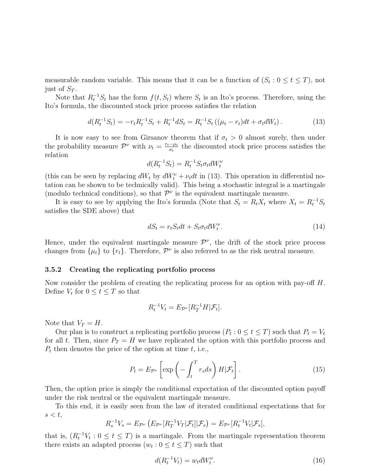measurable random variable. This means that it can be a function of  $(S_t: 0 \le t \le T)$ , not just of  $S_T$ .

Note that  $R_t^{-1}S_t$  has the form  $f(t, S_t)$  where  $S_t$  is an Ito's process. Therefore, using the Ito's formula, the discounted stock price process satisfies the relation

$$
d(R_t^{-1}S_t) = -r_t R_t^{-1} S_t + R_t^{-1} dS_t = R_t^{-1} S_t ((\mu_t - r_t) dt + \sigma_t dW_t).
$$
 (13)

It is now easy to see from Girsanov theorem that if  $\sigma_t > 0$  almost surely, then under the probability measure  $\mathcal{P}^{\nu}$  with  $\nu_t = \frac{r_t - \mu_t}{\sigma_t}$  $\frac{-\mu_t}{\sigma_t}$  the discounted stock price process satisfies the relation

$$
d(R_t^{-1}S_t) = R_t^{-1}S_t\sigma_t dW_t^{\nu}
$$

(this can be seen by replacing  $dW_t$  by  $dW_t^{\nu} + \nu_t dt$  in (13). This operation in differential notation can be shown to be technically valid). This being a stochastic integral is a martingale (modulo technical conditions), so that  $\mathcal{P}^{\nu}$  is the equivalent martingale measure.

It is easy to see by applying the Ito's formula (Note that  $S_t = R_t X_t$  where  $X_t = R_t^{-1} S_t$ satisfies the SDE above) that

$$
dS_t = r_t S_t dt + S_t \sigma_t dW_t^{\nu}.
$$
\n(14)

Hence, under the equivalent martingale measure  $\mathcal{P}^{\nu}$ , the drift of the stock price process changes from  $\{\mu_t\}$  to  $\{r_t\}$ . Therefore,  $\mathcal{P}^{\nu}$  is also referred to as the risk neutral measure.

#### 3.5.2 Creating the replicating portfolio process

Now consider the problem of creating the replicating process for an option with pay-off H. Define  $V_t$  for  $0 \le t \le T$  so that

$$
R_t^{-1}V_t = E_{\mathcal{P}^{\nu}}[R_T^{-1}H|\mathcal{F}_t].
$$

Note that  $V_T = H$ .

Our plan is to construct a replicating portfolio process  $(P_t: 0 \le t \le T)$  such that  $P_t = V_t$ for all t. Then, since  $P_T = H$  we have replicated the option with this portfolio process and  $P_t$  then denotes the price of the option at time t, i.e.,

$$
P_t = E_{\mathcal{P}^{\nu}} \left[ \exp \left( - \int_t^T r_s ds \right) H | \mathcal{F}_t \right]. \tag{15}
$$

Then, the option price is simply the conditional expectation of the discounted option payoff under the risk neutral or the equivalent martingale measure.

To this end, it is easily seen from the law of iterated conditional expectations that for  $s < t$ ,

$$
R_s^{-1}V_s = E_{\mathcal{P}^{\nu}}\left(E_{\mathcal{P}^{\nu}}[R_T^{-1}V_T|\mathcal{F}_t]|\mathcal{F}_s\right) = E_{\mathcal{P}^{\nu}}[R_t^{-1}V_t|\mathcal{F}_s],
$$

that is,  $(R_t^{-1}V_t: 0 \le t \le T)$  is a martingale. From the martingale representation theorem there exists an adapted process  $(w_t: 0 \le t \le T)$  such that

$$
d(R_t^{-1}V_t) = w_t dW_t^{\nu}.
$$
\n
$$
(16)
$$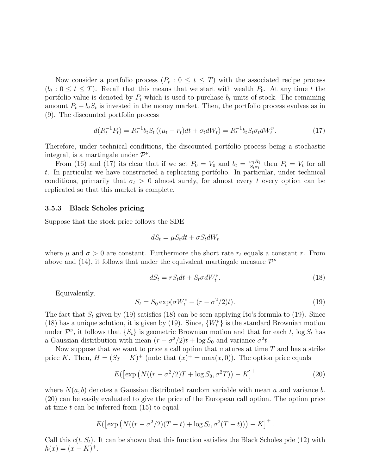Now consider a portfolio process  $(P_t: 0 \le t \le T)$  with the associated recipe process  $(b_t: 0 \le t \le T)$ . Recall that this means that we start with wealth  $P_0$ . At any time t the portfolio value is denoted by  $P_t$  which is used to purchase  $b_t$  units of stock. The remaining amount  $P_t - b_t S_t$  is invested in the money market. Then, the portfolio process evolves as in (9). The discounted portfolio process

$$
d(R_t^{-1}P_t) = R_t^{-1}b_tS_t((\mu_t - r_t)dt + \sigma_t dW_t) = R_t^{-1}b_tS_t\sigma_t dW_t^{\nu}.
$$
\n(17)

Therefore, under technical conditions, the discounted portfolio process being a stochastic integral, is a martingale under  $\mathcal{P}^{\nu}$ .

From (16) and (17) its clear that if we set  $P_0 = V_0$  and  $b_t = \frac{w_t R_t}{S_t \sigma_t}$  $\frac{w_t R_t}{S_t \sigma_t}$  then  $P_t = V_t$  for all t. In particular we have constructed a replicating portfolio. In particular, under technical conditions, primarily that  $\sigma_t > 0$  almost surely, for almost every t every option can be replicated so that this market is complete.

#### 3.5.3 Black Scholes pricing

Suppose that the stock price follows the SDE

$$
dS_t = \mu S_t dt + \sigma S_t dW_t
$$

where  $\mu$  and  $\sigma > 0$  are constant. Furthermore the short rate  $r_t$  equals a constant r. From above and (14), it follows that under the equivalent martingale measure  $\mathcal{P}^{\nu}$ 

$$
dS_t = rS_t dt + S_t \sigma dW_t^{\nu}.
$$
\n(18)

Equivalently,

$$
S_t = S_0 \exp(\sigma W_t^{\nu} + (r - \sigma^2/2)t). \tag{19}
$$

The fact that  $S_t$  given by (19) satisfies (18) can be seen applying Ito's formula to (19). Since (18) has a unique solution, it is given by (19). Since,  $\{W_t^{\nu}\}\$ is the standard Brownian motion under  $\mathcal{P}^{\nu}$ , it follows that  $\{S_t\}$  is geometric Brownian motion and that for each t, log  $S_t$  has a Gaussian distribution with mean  $(r - \sigma^2/2)t + \log S_0$  and variance  $\sigma^2 t$ .

Now suppose that we want to price a call option that matures at time  $T$  and has a strike price K. Then,  $H = (S_T - K)^+$  (note that  $(x)^+ = \max(x, 0)$ ). The option price equals

$$
E\left(\left[\exp\left(N((r-\sigma^2/2)T+\log S_0, \sigma^2 T)\right)-K\right]^+\right.\tag{20}
$$

where  $N(a, b)$  denotes a Gaussian distributed random variable with mean a and variance b. (20) can be easily evaluated to give the price of the European call option. The option price at time  $t$  can be inferred from  $(15)$  to equal

$$
E\left(\left[\exp\left(N((r-\sigma^2/2)(T-t)+\log S_t, \sigma^2(T-t))\right)-K\right]^+\right].
$$

Call this  $c(t, S_t)$ . It can be shown that this function satisfies the Black Scholes pde (12) with  $h(x) = (x - K)^{+}.$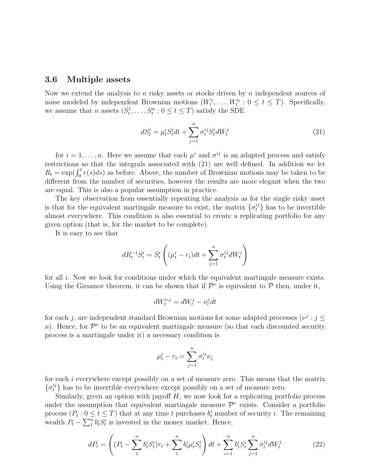## 3.6 Multiple assets

Now we extend the analysis to n risky assets or stocks driven by n independent sources of noise modeled by independent Brownian motions  $(W_t^1, \ldots, W_t^n : 0 \le t \le T)$ . Specifically, we assume that *n* assets  $(S_t^1, \ldots, S_t^n : 0 \le t \le T)$  satisfy the SDE

$$
dS_t^i = \mu_t^i S_t^i dt + \sum_{j=1}^n \sigma_t^{ij} S_t^i dW_t^j
$$
\n(21)

for  $i = 1, \ldots, n$ . Here we assume that each  $\mu^{i}$  and  $\sigma^{ij}$  is an adapted process and satisfy restrictions so that the integrals associated with (21) are well defined. In addition we let  $R_t = \exp(\int_0^t r(s)ds)$  as before. Above, the number of Brownian motions may be taken to be different from the number of securities, however the results are more elegant when the two are equal. This is also a popular assumption in practice.

The key observation from essentially repeating the analysis as for the single risky asset is that for the equivalent martingale measure to exist, the matrix  $\{\sigma_t^{ij}\}\$  has to be invertible almost everywhere. This condition is also essential to create a replicating portfolio for any given option (that is, for the market to be complete).

It is easy to see that

$$
dR_t^{-1}S_t^i = S_t^i \left( (\mu_t^i - r_t)dt + \sum_{j=1}^n \sigma_t^{ij} dW_t^j \right)
$$

for all  $i$ . Now we look for conditions under which the equivalent martingale measure exists. Using the Girsanov theorem, it can be shown that if  $\mathcal{P}^{\nu}$  is equivalent to  $\mathcal{P}$  then, under it,

$$
dW_t^{\nu,j} = dW_t^j - \nu_t^j dt
$$

for each j, are independent standard Brownian motions for some adapted processes  $(\nu^j : j \leq j)$ n). Hence, for  $\mathcal{P}^{\nu}$  to be an equivalent martingale measure (so that each discounted security process is a martingale under it) a necessary condition is

$$
\mu_t^i - r_t = \sum_{j=1}^n \sigma_t^{ij} \nu_j
$$

for each i everywhere except possibly on a set of measure zero. This means that the matrix  $\{\sigma_t^{ij}\}\$  has to be invertible everywhere except possibly on a set of measure zero.

Similarly, given an option with payoff  $H$ , we now look for a replicating portfolio process under the assumption that equivalent martingale measure  $\mathcal{P}^{\nu}$  exists. Consider a portfolio process  $(P_t: 0 \le t \le T)$  that at any time t purchases  $b_t^i$  number of security i. The remaining wealth  $P_t - \sum_1^n b_t^i S_t^i$  is invested in the money market. Hence,

$$
dP_t = \left( (P_t - \sum_{1}^{n} b_t^i S_t^i) r_t + \sum_{1}^{n} b_t^i \mu_t^i S_t^i \right) dt + \sum_{i=1}^{n} b_t^i S_t^i \sum_{j=1}^{n} \sigma_t^{ij} dW_t^j
$$
(22)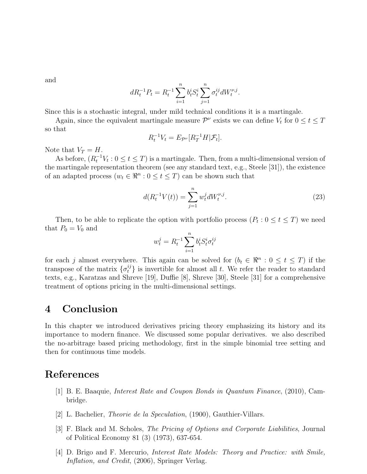and

$$
dR_t^{-1}P_t = R_t^{-1} \sum_{i=1}^n b_t^i S_t^i \sum_{j=1}^n \sigma_t^{ij} dW_t^{\nu,j}.
$$

Since this is a stochastic integral, under mild technical conditions it is a martingale.

Again, since the equivalent martingale measure  $\mathcal{P}^{\nu}$  exists we can define  $V_t$  for  $0 \leq t \leq T$ so that

$$
R_t^{-1}V_t = E_{\mathcal{P}^{\nu}}[R_T^{-1}H|\mathcal{F}_t].
$$

Note that  $V_T = H$ .

As before,  $(R_t^{-1}V_t: 0 \le t \le T)$  is a martingale. Then, from a multi-dimensional version of the martingale representation theorem (see any standard text, e.g., Steele [31]), the existence of an adapted process  $(w_t \in \mathbb{R}^n : 0 \le t \le T)$  can be shown such that

$$
d(R_t^{-1}V(t)) = \sum_{j=1}^{n} w_t^j dW_t^{\nu, j}.
$$
\n(23)

Then, to be able to replicate the option with portfolio process  $(P_t: 0 \le t \le T)$  we need that  $P_0 = V_0$  and

$$
w_t^j = R_t^{-1} \sum_{i=1}^n b_t^i S_t^i \sigma_t^{ij}
$$

for each j almost everywhere. This again can be solved for  $(b_t \in \mathbb{R}^n : 0 \le t \le T)$  if the transpose of the matrix  $\{\sigma_t^{ij}\}\$ is invertible for almost all t. We refer the reader to standard texts, e.g., Karatzas and Shreve [19], Duffie [8], Shreve [30], Steele [31] for a comprehensive treatment of options pricing in the multi-dimensional settings.

## 4 Conclusion

In this chapter we introduced derivatives pricing theory emphasizing its history and its importance to modern finance. We discussed some popular derivatives. we also described the no-arbitrage based pricing methodology, first in the simple binomial tree setting and then for continuous time models.

## References

- [1] B. E. Baaquie, Interest Rate and Coupon Bonds in Quantum Finance, (2010), Cambridge.
- [2] L. Bachelier, Theorie de la Speculation, (1900), Gauthier-Villars.
- [3] F. Black and M. Scholes, The Pricing of Options and Corporate Liabilities, Journal of Political Economy 81 (3) (1973), 637-654.
- [4] D. Brigo and F. Mercurio, Interest Rate Models: Theory and Practice: with Smile, Inflation, and Credit, (2006), Springer Verlag.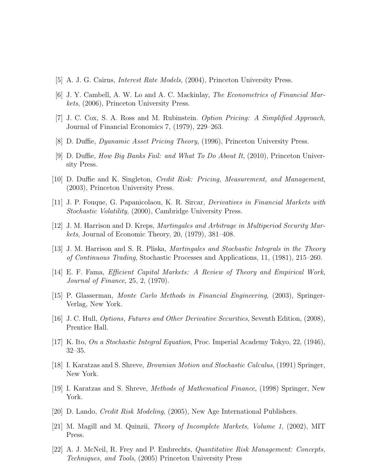- [5] A. J. G. Cairns, Interest Rate Models, (2004), Princeton University Press.
- [6] J. Y. Cambell, A. W. Lo and A. C. Mackinlay, The Econometrics of Financial Markets, (2006), Princeton University Press.
- [7] J. C. Cox, S. A. Ross and M. Rubinstein. Option Pricing: A Simplified Approach, Journal of Financial Economics 7, (1979), 229–263.
- [8] D. Duffie, Dyanamic Asset Pricing Theory, (1996), Princeton University Press.
- [9] D. Duffie, How Big Banks Fail: and What To Do About It, (2010), Princeton University Press.
- [10] D. Duffie and K. Singleton, Credit Risk: Pricing, Measurement, and Management, (2003), Princeton University Press.
- [11] J. P. Fouque, G. Papanicolaou, K. R. Sircar, Derivatives in Financial Markets with Stochastic Volatility, (2000), Cambridge University Press.
- [12] J. M. Harrison and D. Kreps, Martingales and Arbitrage in Multiperiod Security Markets, Journal of Economic Theory, 20,  $(1979)$ ,  $381-408$ .
- [13] J. M. Harrison and S. R. Pliska, Martingales and Stochastic Integrals in the Theory of Continuous Trading, Stochastic Processes and Applications, 11, (1981), 215–260.
- [14] E. F. Fama, Efficient Capital Markets: A Review of Theory and Empirical Work, Journal of Finance, 25, 2, (1970).
- [15] P. Glasserman, Monte Carlo Methods in Financial Engineering, (2003), Springer-Verlag, New York.
- [16] J. C. Hull, Options, Futures and Other Derivative Securities, Seventh Edition, (2008), Prentice Hall.
- [17] K. Ito, On a Stochastic Integral Equation, Proc. Imperial Academy Tokyo, 22, (1946), 32–35.
- [18] I. Karatzas and S. Shreve, Brownian Motion and Stochastic Calculus, (1991) Springer, New York.
- [19] I. Karatzas and S. Shreve, Methods of Mathematical Finance, (1998) Springer, New York.
- [20] D. Lando, *Credit Risk Modeling*, (2005), New Age International Publishers.
- [21] M. Magill and M. Quinzii, Theory of Incomplete Markets, Volume 1, (2002), MIT Press.
- [22] A. J. McNeil, R. Frey and P. Embrechts, Quantitative Risk Management: Concepts, Techniques, and Tools, (2005) Princeton University Press